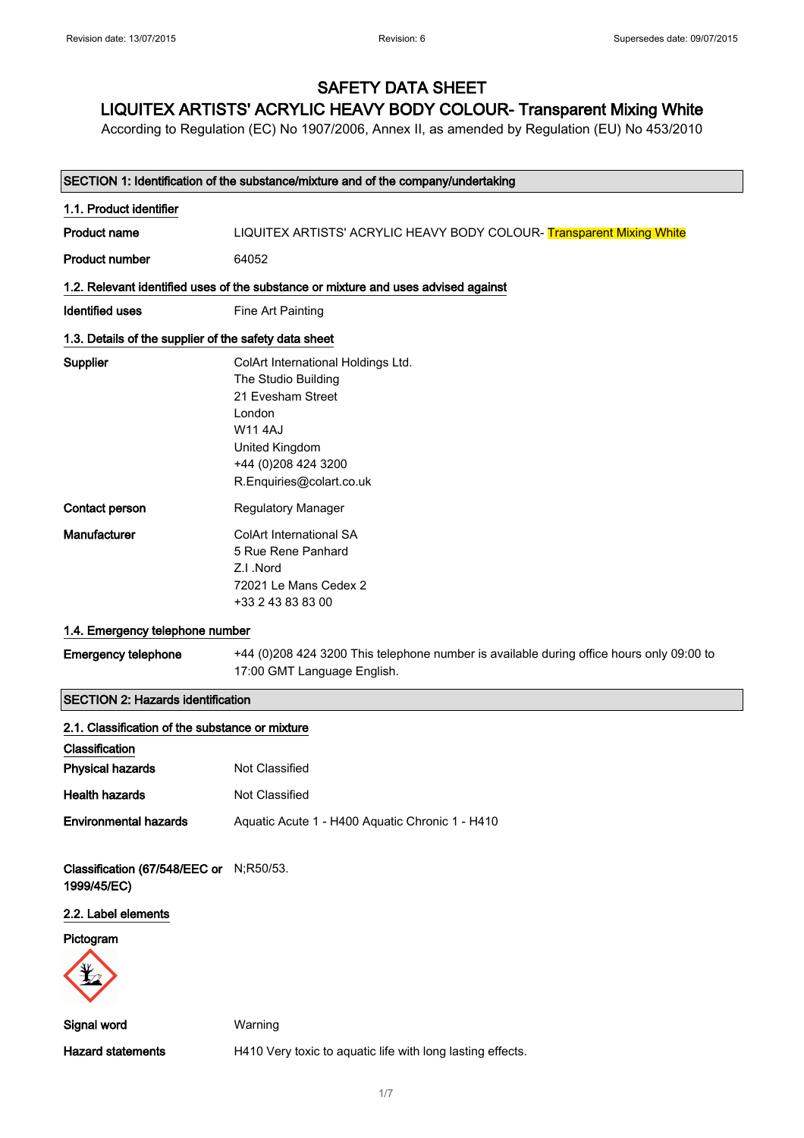### SAFETY DATA SHEET

#### LIQUITEX ARTISTS' ACRYLIC HEAVY BODY COLOUR- Transparent Mixing White

According to Regulation (EC) No 1907/2006, Annex II, as amended by Regulation (EU) No 453/2010

| SECTION 1: Identification of the substance/mixture and of the company/undertaking |                                                                                                                                                                                 |  |
|-----------------------------------------------------------------------------------|---------------------------------------------------------------------------------------------------------------------------------------------------------------------------------|--|
| 1.1. Product identifier                                                           |                                                                                                                                                                                 |  |
| <b>Product name</b>                                                               | LIQUITEX ARTISTS' ACRYLIC HEAVY BODY COLOUR-Transparent Mixing White                                                                                                            |  |
| Product number                                                                    | 64052                                                                                                                                                                           |  |
|                                                                                   | 1.2. Relevant identified uses of the substance or mixture and uses advised against                                                                                              |  |
| Identified uses                                                                   | Fine Art Painting                                                                                                                                                               |  |
| 1.3. Details of the supplier of the safety data sheet                             |                                                                                                                                                                                 |  |
| <b>Supplier</b>                                                                   | ColArt International Holdings Ltd.<br>The Studio Building<br>21 Evesham Street<br>London<br><b>W114AJ</b><br>United Kingdom<br>+44 (0) 208 424 3200<br>R.Enquiries@colart.co.uk |  |
| Contact person                                                                    | <b>Regulatory Manager</b>                                                                                                                                                       |  |
| Manufacturer                                                                      | ColArt International SA<br>5 Rue Rene Panhard<br>Z.I.Nord<br>72021 Le Mans Cedex 2<br>+33 2 43 83 83 00                                                                         |  |
| 1.4. Emergency telephone number                                                   |                                                                                                                                                                                 |  |
| <b>Emergency telephone</b>                                                        | +44 (0)208 424 3200 This telephone number is available during office hours only 09:00 to<br>17:00 GMT Language English.                                                         |  |
| <b>SECTION 2: Hazards identification</b>                                          |                                                                                                                                                                                 |  |
| 2.1. Classification of the substance or mixture                                   |                                                                                                                                                                                 |  |
| Classification                                                                    |                                                                                                                                                                                 |  |
| <b>Physical hazards</b>                                                           | Not Classified                                                                                                                                                                  |  |
| <b>Health hazards</b>                                                             | Not Classified                                                                                                                                                                  |  |
| <b>Environmental hazards</b>                                                      | Aquatic Acute 1 - H400 Aquatic Chronic 1 - H410                                                                                                                                 |  |
| Classification (67/548/EEC or N;R50/53.<br>1999/45/EC)                            |                                                                                                                                                                                 |  |
| 2.2. Label elements                                                               |                                                                                                                                                                                 |  |
| Pictogram                                                                         |                                                                                                                                                                                 |  |
| Signal word                                                                       | Warning                                                                                                                                                                         |  |
| <b>Hazard statements</b>                                                          | H410 Very toxic to aquatic life with long lasting effects.                                                                                                                      |  |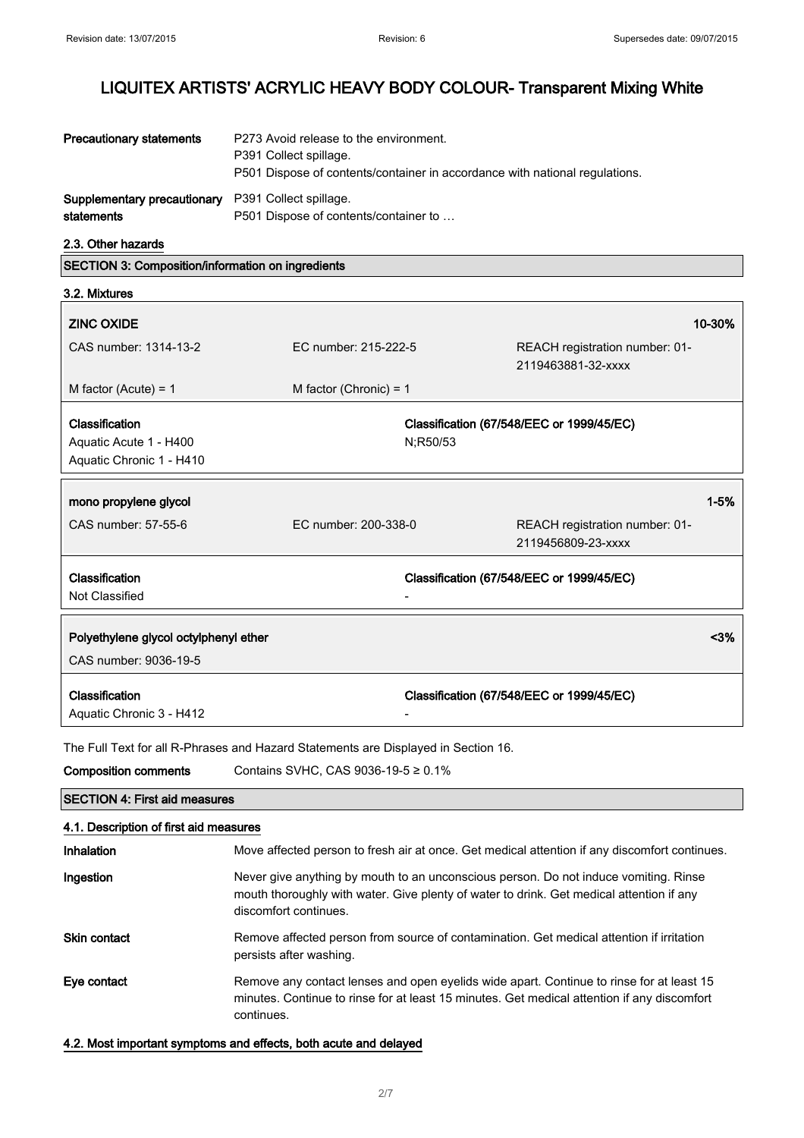| <b>Precautionary statements</b>                                         | P273 Avoid release to the environment.<br>P391 Collect spillage.<br>P501 Dispose of contents/container in accordance with national regulations. |
|-------------------------------------------------------------------------|-------------------------------------------------------------------------------------------------------------------------------------------------|
| <b>Supplementary precautionary</b> P391 Collect spillage.<br>statements | P501 Dispose of contents/container to                                                                                                           |

2.3. Other hazards

SECTION 3: Composition/information on ingredients

| 3.2. Mixtures                                                        |                          |                                                       |                                |
|----------------------------------------------------------------------|--------------------------|-------------------------------------------------------|--------------------------------|
| <b>ZINC OXIDE</b>                                                    |                          |                                                       | 10-30%                         |
| CAS number: 1314-13-2                                                | EC number: 215-222-5     | 2119463881-32-xxxx                                    | REACH registration number: 01- |
| M factor (Acute) = $1$                                               | M factor (Chronic) = $1$ |                                                       |                                |
| Classification<br>Aquatic Acute 1 - H400<br>Aquatic Chronic 1 - H410 |                          | Classification (67/548/EEC or 1999/45/EC)<br>N;R50/53 |                                |
| mono propylene glycol                                                |                          |                                                       | $1 - 5%$                       |
| CAS number: 57-55-6                                                  | FC number: 200-338-0     | 2119456809-23-xxxx                                    | REACH registration number: 01- |
| Classification<br>Not Classified                                     |                          | Classification (67/548/EEC or 1999/45/EC)             |                                |
| Polyethylene glycol octylphenyl ether<br>CAS number: 9036-19-5       |                          |                                                       | $3%$                           |
| Classification<br>Aquatic Chronic 3 - H412                           |                          | Classification (67/548/EEC or 1999/45/EC)             |                                |

The Full Text for all R-Phrases and Hazard Statements are Displayed in Section 16.

| <b>Composition comments</b>            | Contains SVHC, CAS 9036-19-5 $\geq$ 0.1%                                                                                                                                                                  |  |  |
|----------------------------------------|-----------------------------------------------------------------------------------------------------------------------------------------------------------------------------------------------------------|--|--|
|                                        | <b>SECTION 4: First aid measures</b>                                                                                                                                                                      |  |  |
| 4.1. Description of first aid measures |                                                                                                                                                                                                           |  |  |
| Inhalation                             | Move affected person to fresh air at once. Get medical attention if any discomfort continues.                                                                                                             |  |  |
| Ingestion                              | Never give anything by mouth to an unconscious person. Do not induce vomiting. Rinse<br>mouth thoroughly with water. Give plenty of water to drink. Get medical attention if any<br>discomfort continues. |  |  |
| <b>Skin contact</b>                    | Remove affected person from source of contamination. Get medical attention if irritation<br>persists after washing.                                                                                       |  |  |
| Eye contact                            | Remove any contact lenses and open eyelids wide apart. Continue to rinse for at least 15<br>minutes. Continue to rinse for at least 15 minutes. Get medical attention if any discomfort<br>continues.     |  |  |
|                                        |                                                                                                                                                                                                           |  |  |

#### 4.2. Most important symptoms and effects, both acute and delayed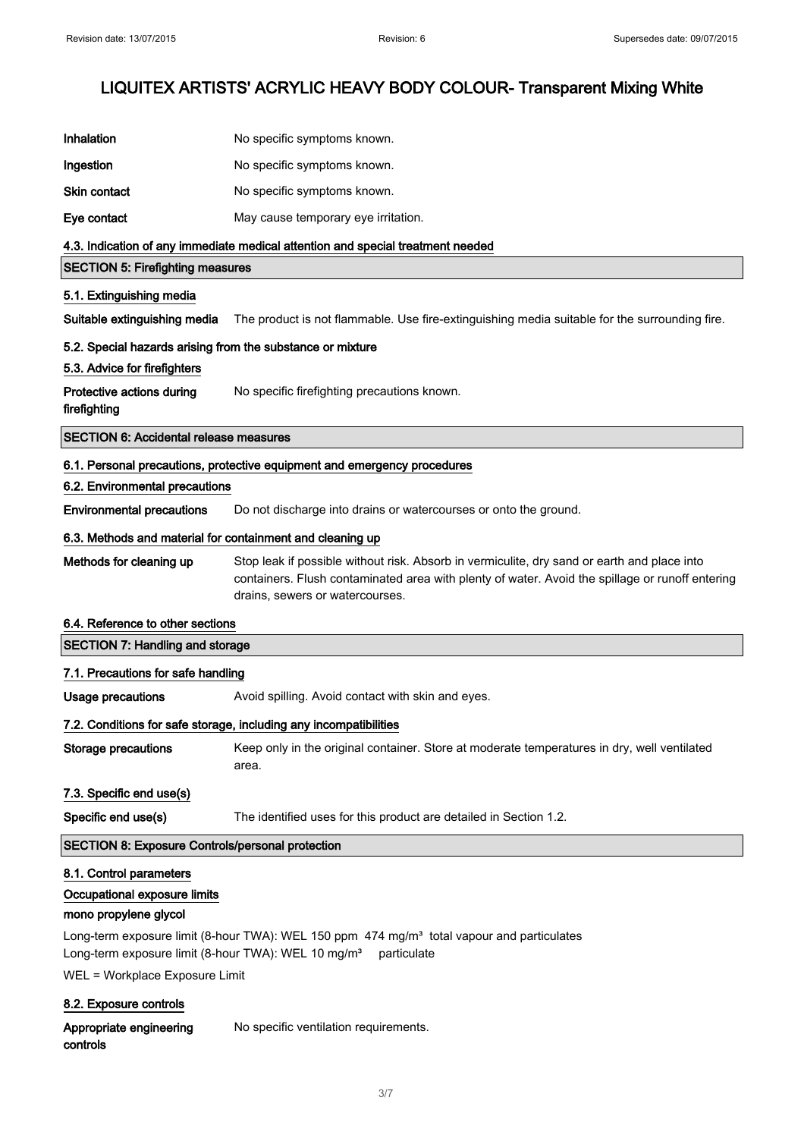| Inhalation                                                      | No specific symptoms known.                                                                                                                                                                                                       |
|-----------------------------------------------------------------|-----------------------------------------------------------------------------------------------------------------------------------------------------------------------------------------------------------------------------------|
| Ingestion                                                       | No specific symptoms known.                                                                                                                                                                                                       |
| <b>Skin contact</b>                                             | No specific symptoms known.                                                                                                                                                                                                       |
| Eye contact                                                     | May cause temporary eye irritation.                                                                                                                                                                                               |
|                                                                 | 4.3. Indication of any immediate medical attention and special treatment needed                                                                                                                                                   |
| <b>SECTION 5: Firefighting measures</b>                         |                                                                                                                                                                                                                                   |
| 5.1. Extinguishing media                                        |                                                                                                                                                                                                                                   |
| Suitable extinguishing media                                    | The product is not flammable. Use fire-extinguishing media suitable for the surrounding fire.                                                                                                                                     |
| 5.2. Special hazards arising from the substance or mixture      |                                                                                                                                                                                                                                   |
| 5.3. Advice for firefighters                                    |                                                                                                                                                                                                                                   |
| Protective actions during<br>firefighting                       | No specific firefighting precautions known.                                                                                                                                                                                       |
| <b>SECTION 6: Accidental release measures</b>                   |                                                                                                                                                                                                                                   |
|                                                                 | 6.1. Personal precautions, protective equipment and emergency procedures                                                                                                                                                          |
| 6.2. Environmental precautions                                  |                                                                                                                                                                                                                                   |
| <b>Environmental precautions</b>                                | Do not discharge into drains or watercourses or onto the ground.                                                                                                                                                                  |
| 6.3. Methods and material for containment and cleaning up       |                                                                                                                                                                                                                                   |
| Methods for cleaning up                                         | Stop leak if possible without risk. Absorb in vermiculite, dry sand or earth and place into<br>containers. Flush contaminated area with plenty of water. Avoid the spillage or runoff entering<br>drains, sewers or watercourses. |
| 6.4. Reference to other sections                                |                                                                                                                                                                                                                                   |
| <b>SECTION 7: Handling and storage</b>                          |                                                                                                                                                                                                                                   |
| 7.1. Precautions for safe handling                              |                                                                                                                                                                                                                                   |
| Usage precautions                                               | Avoid spilling. Avoid contact with skin and eyes.                                                                                                                                                                                 |
|                                                                 | 7.2. Conditions for safe storage, including any incompatibilities                                                                                                                                                                 |
| <b>Storage precautions</b>                                      | Keep only in the original container. Store at moderate temperatures in dry, well ventilated<br>area.                                                                                                                              |
| 7.3. Specific end use(s)                                        |                                                                                                                                                                                                                                   |
| Specific end use(s)                                             | The identified uses for this product are detailed in Section 1.2.                                                                                                                                                                 |
| <b>SECTION 8: Exposure Controls/personal protection</b>         |                                                                                                                                                                                                                                   |
| 8.1. Control parameters<br>Occupational exposure limits         |                                                                                                                                                                                                                                   |
| mono propylene glycol                                           |                                                                                                                                                                                                                                   |
| Long-term exposure limit (8-hour TWA): WEL 10 mg/m <sup>3</sup> | Long-term exposure limit (8-hour TWA): WEL 150 ppm 474 mg/m <sup>3</sup> total vapour and particulates<br>particulate                                                                                                             |
| WEL = Workplace Exposure Limit                                  |                                                                                                                                                                                                                                   |
| 8.2. Exposure controls                                          |                                                                                                                                                                                                                                   |
| Appropriate engineering<br>controls                             | No specific ventilation requirements.                                                                                                                                                                                             |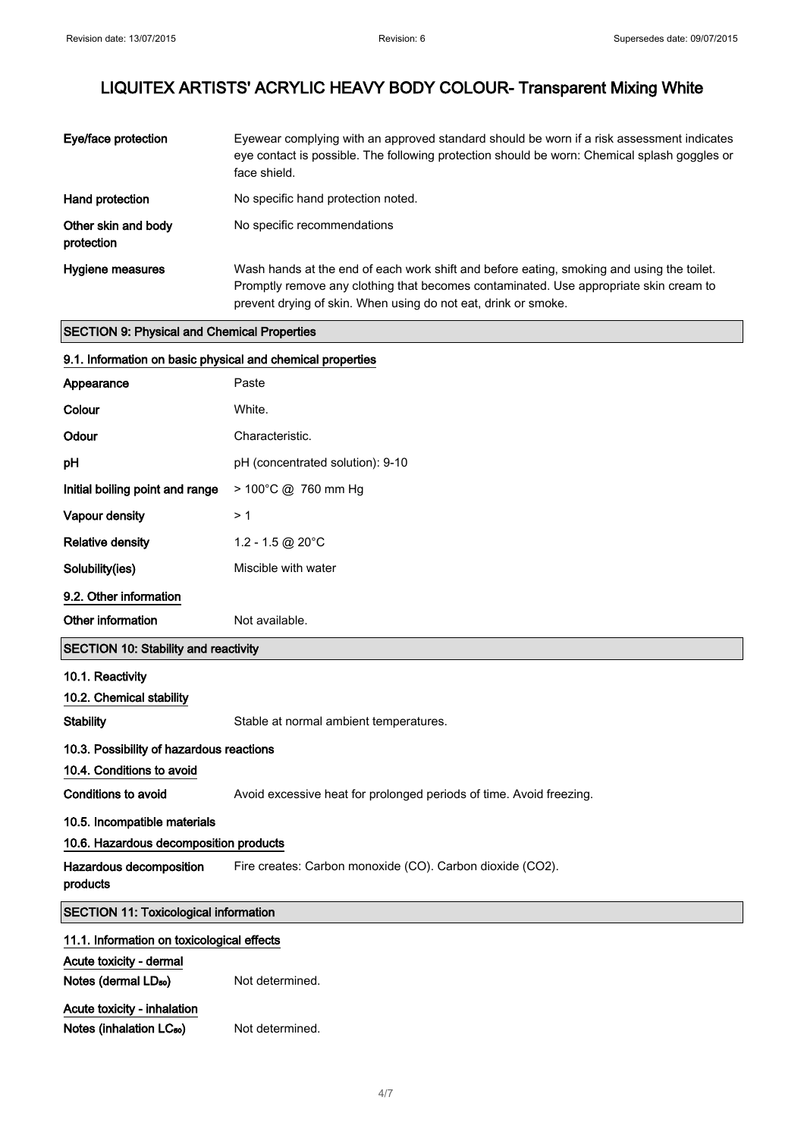J.

## LIQUITEX ARTISTS' ACRYLIC HEAVY BODY COLOUR- Transparent Mixing White

| Eye/face protection               | Eyewear complying with an approved standard should be worn if a risk assessment indicates<br>eye contact is possible. The following protection should be worn: Chemical splash goggles or<br>face shield.                                            |
|-----------------------------------|------------------------------------------------------------------------------------------------------------------------------------------------------------------------------------------------------------------------------------------------------|
| Hand protection                   | No specific hand protection noted.                                                                                                                                                                                                                   |
| Other skin and body<br>protection | No specific recommendations                                                                                                                                                                                                                          |
| Hygiene measures                  | Wash hands at the end of each work shift and before eating, smoking and using the toilet.<br>Promptly remove any clothing that becomes contaminated. Use appropriate skin cream to<br>prevent drying of skin. When using do not eat, drink or smoke. |

#### SECTION 9: Physical and Chemical Properties

| 9.1. Information on basic physical and chemical properties          |                                                                     |  |
|---------------------------------------------------------------------|---------------------------------------------------------------------|--|
| Appearance                                                          | Paste                                                               |  |
| Colour                                                              | White.                                                              |  |
| Odour                                                               | Characteristic.                                                     |  |
| рH                                                                  | pH (concentrated solution): 9-10                                    |  |
| Initial boiling point and range                                     | > 100°C @ 760 mm Hg                                                 |  |
| <b>Vapour density</b>                                               | >1                                                                  |  |
| Relative density                                                    | 1.2 - 1.5 @ 20°C                                                    |  |
| Solubility(ies)                                                     | Miscible with water                                                 |  |
| 9.2. Other information                                              |                                                                     |  |
| Other information                                                   | Not available.                                                      |  |
| <b>SECTION 10: Stability and reactivity</b>                         |                                                                     |  |
| 10.1. Reactivity                                                    |                                                                     |  |
| 10.2. Chemical stability                                            |                                                                     |  |
| <b>Stability</b>                                                    | Stable at normal ambient temperatures.                              |  |
| 10.3. Possibility of hazardous reactions                            |                                                                     |  |
| 10.4. Conditions to avoid                                           |                                                                     |  |
| <b>Conditions to avoid</b>                                          | Avoid excessive heat for prolonged periods of time. Avoid freezing. |  |
| 10.5. Incompatible materials                                        |                                                                     |  |
| 10.6. Hazardous decomposition products                              |                                                                     |  |
| Hazardous decomposition<br>products                                 | Fire creates: Carbon monoxide (CO). Carbon dioxide (CO2).           |  |
| <b>SECTION 11: Toxicological information</b>                        |                                                                     |  |
| 11.1. Information on toxicological effects                          |                                                                     |  |
| Acute toxicity - dermal                                             |                                                                     |  |
| Notes (dermal LD <sub>50</sub> )                                    | Not determined.                                                     |  |
| Acute toxicity - inhalation<br>Notes (inhalation LC <sub>50</sub> ) | Not determined.                                                     |  |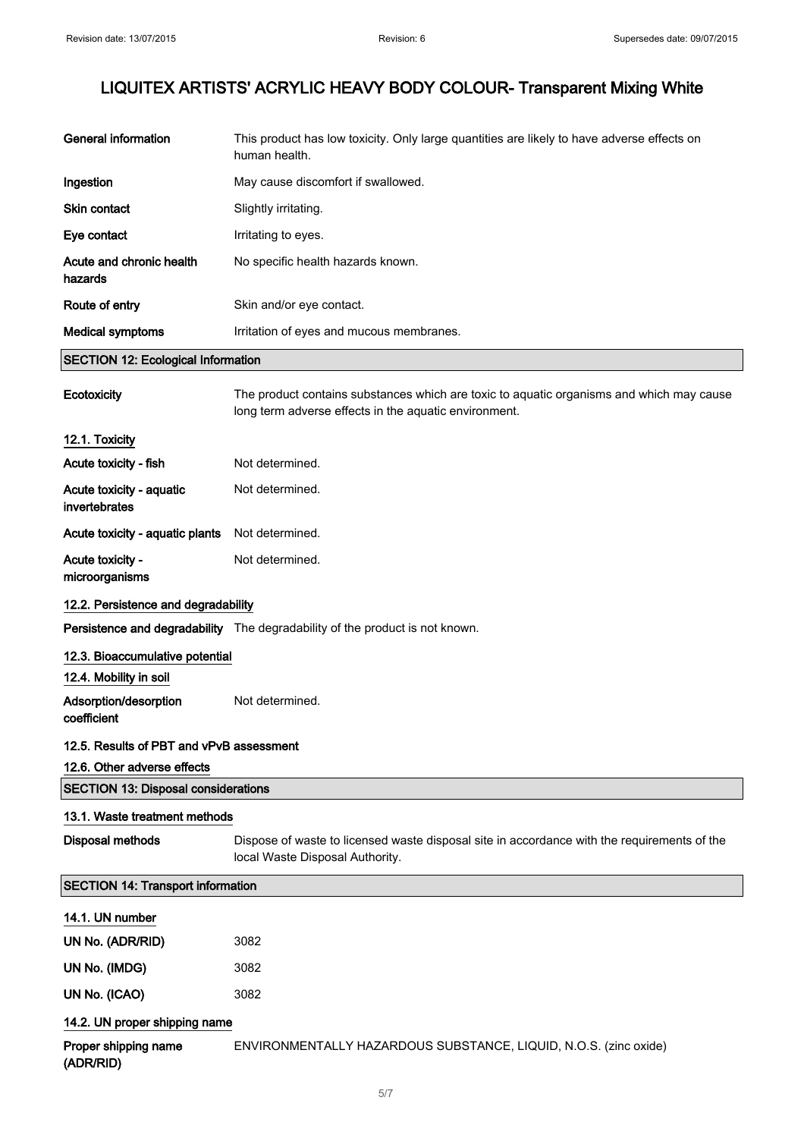| <b>Disposal methods</b><br><b>SECTION 14: Transport information</b><br>14.1. UN number<br>UN No. (ADR/RID)<br>UN No. (IMDG)<br>UN No. (ICAO) | Dispose of waste to licensed waste disposal site in accordance with the requirements of the<br>local Waste Disposal Authority.<br>3082<br>3082<br>3082 |
|----------------------------------------------------------------------------------------------------------------------------------------------|--------------------------------------------------------------------------------------------------------------------------------------------------------|
|                                                                                                                                              |                                                                                                                                                        |
|                                                                                                                                              |                                                                                                                                                        |
|                                                                                                                                              |                                                                                                                                                        |
|                                                                                                                                              |                                                                                                                                                        |
|                                                                                                                                              |                                                                                                                                                        |
|                                                                                                                                              |                                                                                                                                                        |
|                                                                                                                                              |                                                                                                                                                        |
| 13.1. Waste treatment methods                                                                                                                |                                                                                                                                                        |
| <b>SECTION 13: Disposal considerations</b>                                                                                                   |                                                                                                                                                        |
| 12.6. Other adverse effects                                                                                                                  |                                                                                                                                                        |
| 12.5. Results of PBT and vPvB assessment                                                                                                     |                                                                                                                                                        |
| Adsorption/desorption<br>coefficient                                                                                                         | Not determined.                                                                                                                                        |
| 12.4. Mobility in soil                                                                                                                       |                                                                                                                                                        |
| 12.3. Bioaccumulative potential                                                                                                              |                                                                                                                                                        |
|                                                                                                                                              | Persistence and degradability The degradability of the product is not known.                                                                           |
| 12.2. Persistence and degradability                                                                                                          |                                                                                                                                                        |
| Acute toxicity -<br>microorganisms                                                                                                           | Not determined.                                                                                                                                        |
| Acute toxicity - aquatic plants                                                                                                              | Not determined.                                                                                                                                        |
| invertebrates                                                                                                                                |                                                                                                                                                        |
| Acute toxicity - aquatic                                                                                                                     | Not determined.                                                                                                                                        |
| Acute toxicity - fish                                                                                                                        | Not determined.                                                                                                                                        |
| 12.1. Toxicity                                                                                                                               |                                                                                                                                                        |
| Ecotoxicity                                                                                                                                  | The product contains substances which are toxic to aquatic organisms and which may cause<br>long term adverse effects in the aquatic environment.      |
| <b>SECTION 12: Ecological Information</b>                                                                                                    |                                                                                                                                                        |
| <b>Medical symptoms</b>                                                                                                                      | Irritation of eyes and mucous membranes.                                                                                                               |
| Route of entry                                                                                                                               | Skin and/or eye contact.                                                                                                                               |
| Acute and chronic health<br>hazards                                                                                                          | No specific health hazards known.                                                                                                                      |
| Eye contact                                                                                                                                  | Irritating to eyes.                                                                                                                                    |
| Skin contact                                                                                                                                 | Slightly irritating.                                                                                                                                   |
|                                                                                                                                              | May cause discomfort if swallowed.                                                                                                                     |
| Ingestion                                                                                                                                    |                                                                                                                                                        |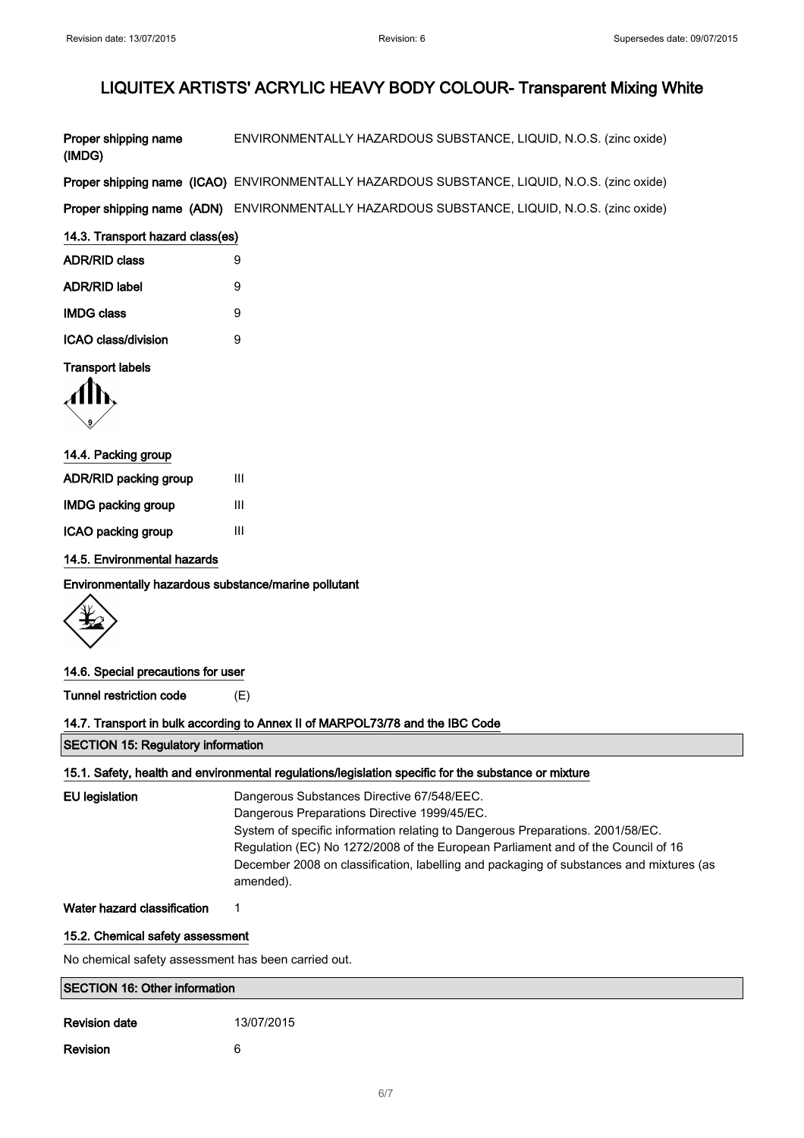| Proper shipping name<br>(IMDG)                       | ENVIRONMENTALLY HAZARDOUS SUBSTANCE, LIQUID, N.O.S. (zinc oxide)                                                                                                                                                                                                                                                                                                         |  |
|------------------------------------------------------|--------------------------------------------------------------------------------------------------------------------------------------------------------------------------------------------------------------------------------------------------------------------------------------------------------------------------------------------------------------------------|--|
|                                                      | Proper shipping name (ICAO) ENVIRONMENTALLY HAZARDOUS SUBSTANCE, LIQUID, N.O.S. (zinc oxide)                                                                                                                                                                                                                                                                             |  |
|                                                      | Proper shipping name (ADN) ENVIRONMENTALLY HAZARDOUS SUBSTANCE, LIQUID, N.O.S. (zinc oxide)                                                                                                                                                                                                                                                                              |  |
| 14.3. Transport hazard class(es)                     |                                                                                                                                                                                                                                                                                                                                                                          |  |
| <b>ADR/RID class</b>                                 | 9                                                                                                                                                                                                                                                                                                                                                                        |  |
| <b>ADR/RID label</b>                                 | 9                                                                                                                                                                                                                                                                                                                                                                        |  |
| <b>IMDG class</b>                                    | 9                                                                                                                                                                                                                                                                                                                                                                        |  |
| ICAO class/division                                  | 9                                                                                                                                                                                                                                                                                                                                                                        |  |
| <b>Transport labels</b>                              |                                                                                                                                                                                                                                                                                                                                                                          |  |
|                                                      |                                                                                                                                                                                                                                                                                                                                                                          |  |
| 14.4. Packing group                                  |                                                                                                                                                                                                                                                                                                                                                                          |  |
| ADR/RID packing group                                | Ш                                                                                                                                                                                                                                                                                                                                                                        |  |
| <b>IMDG packing group</b>                            | $\mathsf{III}$                                                                                                                                                                                                                                                                                                                                                           |  |
| ICAO packing group                                   | $\mathbf{III}$                                                                                                                                                                                                                                                                                                                                                           |  |
| 14.5. Environmental hazards                          |                                                                                                                                                                                                                                                                                                                                                                          |  |
| Environmentally hazardous substance/marine pollutant |                                                                                                                                                                                                                                                                                                                                                                          |  |
|                                                      |                                                                                                                                                                                                                                                                                                                                                                          |  |
| 14.6. Special precautions for user                   |                                                                                                                                                                                                                                                                                                                                                                          |  |
| <b>Tunnel restriction code</b>                       | (E)                                                                                                                                                                                                                                                                                                                                                                      |  |
|                                                      | 14.7. Transport in bulk according to Annex II of MARPOL73/78 and the IBC Code                                                                                                                                                                                                                                                                                            |  |
| <b>SECTION 15: Regulatory information</b>            |                                                                                                                                                                                                                                                                                                                                                                          |  |
|                                                      | 15.1. Safety, health and environmental regulations/legislation specific for the substance or mixture                                                                                                                                                                                                                                                                     |  |
| <b>EU</b> legislation                                | Dangerous Substances Directive 67/548/EEC.<br>Dangerous Preparations Directive 1999/45/EC.<br>System of specific information relating to Dangerous Preparations. 2001/58/EC.<br>Regulation (EC) No 1272/2008 of the European Parliament and of the Council of 16<br>December 2008 on classification, labelling and packaging of substances and mixtures (as<br>amended). |  |
| Water hazard classification                          | 1                                                                                                                                                                                                                                                                                                                                                                        |  |
| 15.2. Chemical safety assessment                     |                                                                                                                                                                                                                                                                                                                                                                          |  |
| No chemical safety assessment has been carried out.  |                                                                                                                                                                                                                                                                                                                                                                          |  |
| <b>SECTION 16: Other information</b>                 |                                                                                                                                                                                                                                                                                                                                                                          |  |
| <b>Revision date</b>                                 | 13/07/2015                                                                                                                                                                                                                                                                                                                                                               |  |
| Revision                                             | 6                                                                                                                                                                                                                                                                                                                                                                        |  |